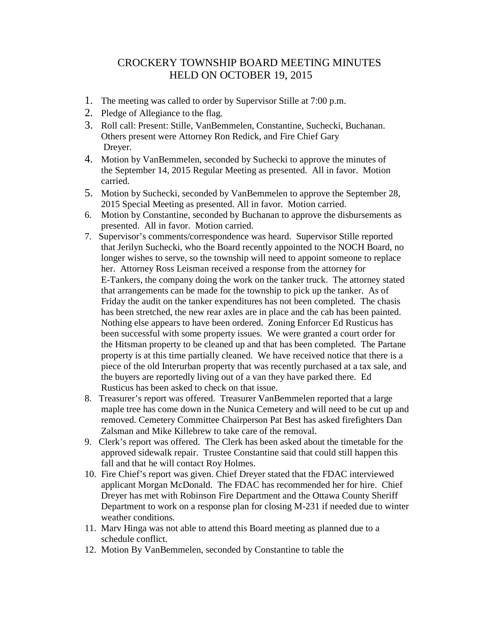## CROCKERY TOWNSHIP BOARD MEETING MINUTES HELD ON OCTOBER 19, 2015

- 1. The meeting was called to order by Supervisor Stille at 7:00 p.m.
- 2. Pledge of Allegiance to the flag.
- 3. Roll call: Present: Stille, VanBemmelen, Constantine, Suchecki, Buchanan. Others present were Attorney Ron Redick, and Fire Chief Gary Dreyer.
- 4. Motion by VanBemmelen, seconded by Suchecki to approve the minutes of the September 14, 2015 Regular Meeting as presented. All in favor. Motion carried.
- 5. Motion by Suchecki, seconded by VanBemmelen to approve the September 28, 2015 Special Meeting as presented. All in favor. Motion carried.
- 6. Motion by Constantine, seconded by Buchanan to approve the disbursements as presented. All in favor. Motion carried.
- 7. Supervisor's comments/correspondence was heard. Supervisor Stille reported that Jerilyn Suchecki, who the Board recently appointed to the NOCH Board, no longer wishes to serve, so the township will need to appoint someone to replace her. Attorney Ross Leisman received a response from the attorney for E-Tankers, the company doing the work on the tanker truck. The attorney stated that arrangements can be made for the township to pick up the tanker. As of Friday the audit on the tanker expenditures has not been completed. The chasis has been stretched, the new rear axles are in place and the cab has been painted. Nothing else appears to have been ordered. Zoning Enforcer Ed Rusticus has been successful with some property issues. We were granted a court order for the Hitsman property to be cleaned up and that has been completed. The Partane property is at this time partially cleaned. We have received notice that there is a piece of the old Interurban property that was recently purchased at a tax sale, and the buyers are reportedly living out of a van they have parked there. Ed Rusticus has been asked to check on that issue.
- 8. Treasurer's report was offered. Treasurer VanBemmelen reported that a large maple tree has come down in the Nunica Cemetery and will need to be cut up and removed. Cemetery Committee Chairperson Pat Best has asked firefighters Dan Zalsman and Mike Killebrew to take care of the removal.
- 9. Clerk's report was offered. The Clerk has been asked about the timetable for the approved sidewalk repair. Trustee Constantine said that could still happen this fall and that he will contact Roy Holmes.
- 10. Fire Chief's report was given. Chief Dreyer stated that the FDAC interviewed applicant Morgan McDonald. The FDAC has recommended her for hire. Chief Dreyer has met with Robinson Fire Department and the Ottawa County Sheriff Department to work on a response plan for closing M-231 if needed due to winter weather conditions.
- 11. Marv Hinga was not able to attend this Board meeting as planned due to a schedule conflict.
- 12. Motion By VanBemmelen, seconded by Constantine to table the